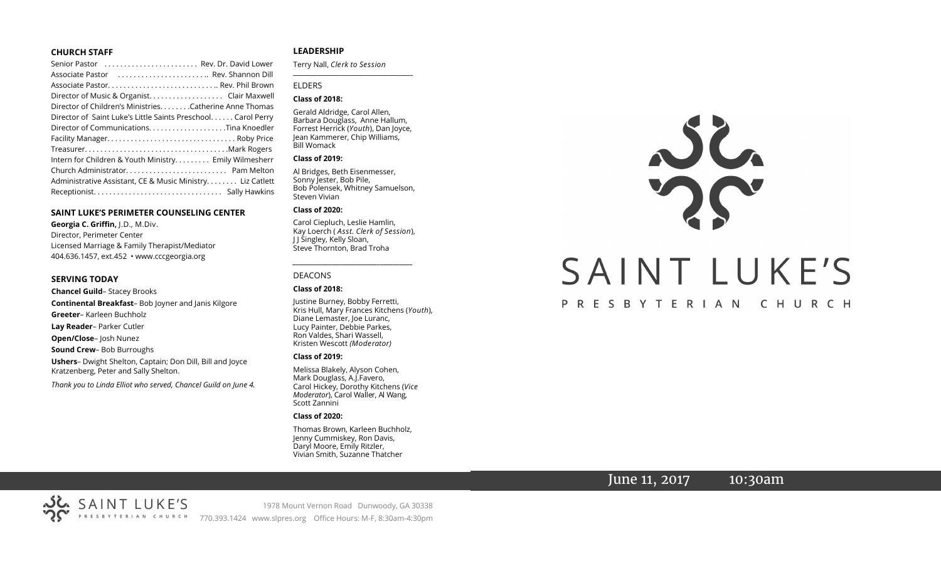#### **CHURCH STAFF**

| Senior Pastor  Rev. Dr. David Lower                          |
|--------------------------------------------------------------|
| Associate Pastor  Rev. Shannon Dill                          |
|                                                              |
| Director of Music & Organist. Clair Maxwell                  |
| Director of Children's Ministries. Catherine Anne Thomas     |
| Director of Saint Luke's Little Saints Preschool Carol Perry |
|                                                              |
|                                                              |
|                                                              |
| Intern for Children & Youth Ministry Emily Wilmesherr        |
|                                                              |
| Administrative Assistant, CE & Music Ministry Liz Catlett    |
|                                                              |

#### **SAINT LUKE'S PERIMETER COUNSELING CENTER**

**Georgia C. Griffin,** J.D., M.Div. Director, Perimeter Center Licensed Marriage & Family Therapist/Mediator 404.636.1457, ext.452 • www.cccgeorgia.org

#### **SERVING TODAY**

**Chancel Guild**– Stacey Brooks **Continental Breakfast**– Bob Joyner and Janis Kilgore **Greeter**– Karleen Buchholz **Lay Reader**– Parker Cutler **Open/Close**– Josh Nunez **Sound Crew**– Bob Burroughs **Ushers**– Dwight Shelton, Captain; Don Dill, Bill and Joyce Kratzenberg, Peter and Sally Shelton.

*Thank you to Linda Elliot who served, Chancel Guild on June 4.*

#### **LEADERSHIP**

Terry Nall, *Clerk to Session*  **\_\_\_\_\_\_\_\_\_\_\_\_\_\_\_\_\_\_\_\_\_\_\_\_\_\_\_\_\_\_\_\_\_\_\_\_\_\_\_**

#### ELDERS

#### **Class of 2018:**

Gerald Aldridge, Carol Allen, Barbara Douglass, Anne Hallum, Forrest Herrick (*Youth*), Dan Joyce, Jean Kammerer, Chip Williams, Bill Womack

#### **Class of 2019:**

Al Bridges, Beth Eisenmesser, Sonny Jester, Bob Pile, Bob Polensek, Whitney Samuelson, Steven Vivian

#### **Class of 2020:**

Carol Ciepluch, Leslie Hamlin, Kay Loerch ( *Asst. Clerk of Session*), J J Singley, Kelly Sloan, Steve Thornton, Brad Troha

*\_\_\_\_\_\_\_\_\_\_\_\_\_\_\_\_\_\_\_\_\_\_\_\_\_\_\_\_\_\_\_\_\_\_\_\_\_*

#### DEACONS

#### **Class of 2018:**

Justine Burney, Bobby Ferretti, Kris Hull, Mary Frances Kitchens (*Youth*), Diane Lemaster, Joe Luranc, Lucy Painter, Debbie Parkes, Ron Valdes, Shari Wassell, Kristen Wescott *(Moderator)*

#### **Class of 2019:**

Melissa Blakely, Alyson Cohen, Mark Douglass, A.J.Favero, Carol Hickey, Dorothy Kitchens (*Vice Moderator*), Carol Waller, Al Wang, Scott Zannini

#### **Class of 2020:**

Thomas Brown, Karleen Buchholz, Jenny Cummiskey, Ron Davis, Daryl Moore, Emily Ritzler, Vivian Smith, Suzanne Thatcher



## June 11, 2017 10:30am

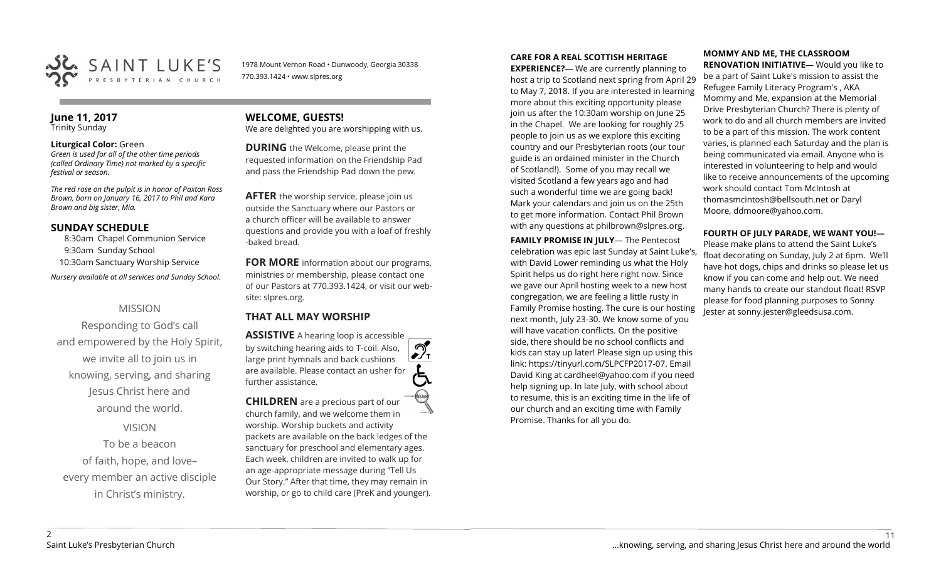

1978 Mount Vernon Road • Dunwoody, Georgia 30338 770.393.1424 • www.slpres.org

#### **June 11, 2017**  Trinity Sunday

#### **Liturgical Color:** Green

*Green is used for all of the other time periods (called Ordinary Time) not marked by a specific festival or season.*

*The red rose on the pulpit is in honor of Paxton Ross Brown, born on January 16, 2017 to Phil and Kara Brown and big sister, Mia.*

## **SUNDAY SCHEDULE**

8:30am Chapel Communion Service 9:30am Sunday School 10:30am Sanctuary Worship Service *Nursery available at all services and Sunday School.* 

## MISSION

Responding to God's call and empowered by the Holy Spirit, we invite all to join us in knowing, serving, and sharing Jesus Christ here and around the world.

VISION To be a beacon of faith, hope, and love– every member an active disciple in Christ's ministry.

# **WELCOME, GUESTS!**

We are delighted you are worshipping with us.

**DURING** the Welcome, please print the requested information on the Friendship Pad and pass the Friendship Pad down the pew.

**AFTER** the worship service, please join us outside the Sanctuary where our Pastors or a church officer will be available to answer questions and provide you with a loaf of freshly -baked bread.

**FOR MORE** information about our programs, ministries or membership, please contact one of our Pastors at 770.393.1424, or visit our website: slpres.org.

# **THAT ALL MAY WORSHIP**

**ASSISTIVE** A hearing loop is accessible പ് by switching hearing aids to T-coil. Also,  $\frac{1}{\sqrt{1}}$ large print hymnals and back cushions are available. Please contact an usher for further assistance. **CHILDREN** are a precious part of our

church family, and we welcome them in worship. Worship buckets and activity packets are available on the back ledges of the sanctuary for preschool and elementary ages. Each week, children are invited to walk up for an age-appropriate message during "Tell Us Our Story." After that time, they may remain in worship, or go to child care (PreK and younger).

# **CARE FOR A REAL SCOTTISH HERITAGE**

**EXPERIENCE?**— We are currently planning to host a trip to Scotland next spring from April 29 to May 7, 2018. If you are interested in learning more about this exciting opportunity please join us after the 10:30am worship on June 25 in the Chapel. We are looking for roughly 25 people to join us as we explore this exciting country and our Presbyterian roots (our tour guide is an ordained minister in the Church of Scotland!). Some of you may recall we visited Scotland a few years ago and had such a wonderful time we are going back! Mark your calendars and join us on the 25th to get more information. Contact Phil Brown with any questions at philbrown@slpres.org.

**FAMILY PROMISE IN JULY**— The Pentecost celebration was epic last Sunday at Saint Luke's, with David Lower reminding us what the Holy Spirit helps us do right here right now. Since we gave our April hosting week to a new host congregation, we are feeling a little rusty in Family Promise hosting. The cure is our hosting next month, July 23-30. We know some of you will have vacation conflicts. On the positive side, there should be no school conflicts and kids can stay up later! Please sign up using this link: [https://tinyurl.com/SLPCFP2017](https://tinyurl.com/SLPCFP2017-07)-07. Email David King at cardheel@yahoo.com if you need help signing up. In late July, with school about to resume, this is an exciting time in the life of our church and an exciting time with Family Promise. Thanks for all you do.

#### **MOMMY AND ME, THE CLASSROOM RENOVATION INITIATIVE**— Would you like to

be a part of Saint Luke's mission to assist the Refugee Family Literacy Program's , AKA Mommy and Me, expansion at the Memorial Drive Presbyterian Church? There is plenty of work to do and all church members are invited to be a part of this mission. The work content varies, is planned each Saturday and the plan is being communicated via email. Anyone who is interested in volunteering to help and would like to receive announcements of the upcoming work should contact Tom McIntosh at [thomasmcintosh@bellsouth.net](mailto:thomasmcintosh@bellsouth.net) or Daryl Moore, [ddmoore@yahoo.com.](mailto:ddmoore@yahoo.com)

## **FOURTH OF JULY PARADE, WE WANT YOU!—**

Please make plans to attend the Saint Luke's float decorating on Sunday, July 2 at 6pm. We'll have hot dogs, chips and drinks so please let us know if you can come and help out. We need many hands to create our standout float! RSVP please for food planning purposes to Sonny Jester at sonny.jester@gleedsusa.com.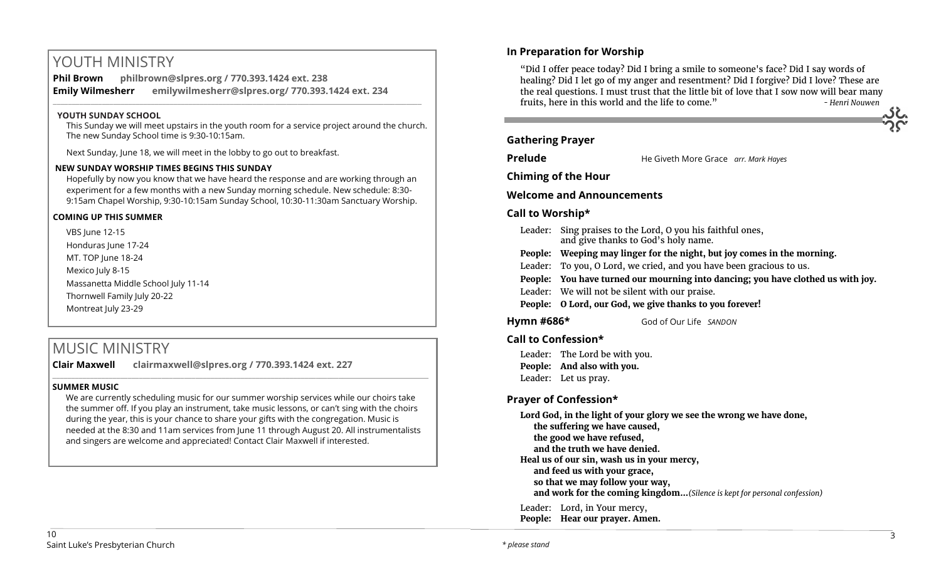# YOUTH MINISTRY

**Phil Brown philbrown@slpres.org / 770.393.1424 ext. 238 Emily Wilmesherr emilywilmesherr@slpres.org/ 770.393.1424 ext. 234**   $\_$  ,  $\_$  ,  $\_$  ,  $\_$  ,  $\_$  ,  $\_$  ,  $\_$  ,  $\_$  ,  $\_$  ,  $\_$  ,  $\_$  ,  $\_$  ,  $\_$  ,  $\_$  ,  $\_$  ,  $\_$  ,  $\_$  ,  $\_$  ,  $\_$  ,  $\_$ 

#### **YOUTH SUNDAY SCHOOL**

This Sunday we will meet upstairs in the youth room for a service project around the church. The new Sunday School time is 9:30-10:15am.

Next Sunday, June 18, we will meet in the lobby to go out to breakfast.

#### **NEW SUNDAY WORSHIP TIMES BEGINS THIS SUNDAY**

Hopefully by now you know that we have heard the response and are working through an experiment for a few months with a new Sunday morning schedule. New schedule: 8:30- 9:15am Chapel Worship, 9:30-10:15am Sunday School, 10:30-11:30am Sanctuary Worship.

#### **COMING UP THIS SUMMER**

VBS June 12-15 Honduras lune 17-24 MT. TOP June 18-24 Mexico July 8-15 Massanetta Middle School July 11-14 Thornwell Family July 20-22 Montreat July 23-29

# MUSIC MINISTRY

**Clair Maxwell clairmaxwell@slpres.org / 770.393.1424 ext. 227** 

#### **SUMMER MUSIC**

We are currently scheduling music for our summer worship services while our choirs take the summer off. If you play an instrument, take music lessons, or can't sing with the choirs during the year, this is your chance to share your gifts with the congregation. Music is needed at the 8:30 and 11am services from June 11 through August 20. All instrumentalists and singers are welcome and appreciated! Contact Clair Maxwell if interested.

\_\_\_\_\_\_\_\_\_\_\_\_\_\_\_\_\_\_\_\_\_\_\_\_\_\_\_\_\_\_\_\_\_\_\_\_\_\_\_\_\_\_\_\_\_\_\_\_\_\_\_\_\_\_\_\_\_\_\_\_\_\_\_\_\_\_\_\_\_\_\_\_\_\_\_\_\_\_\_\_\_\_\_\_\_\_\_\_\_\_\_\_\_\_\_\_\_\_\_\_

# **In Preparation for Worship**  "Did I offer peace today? Did I bring a smile to someone's face? Did I say words of healing? Did I let go of my anger and resentment? Did I forgive? Did I love? These are the real questions. I must trust that the little bit of love that I sow now will bear many fruits, here in this world and the life to come." *- Henri Nouwen* **Gathering Prayer Prelude** He Giveth More Grace *arr. Mark Hayes* **Chiming of the Hour Welcome and Announcements Call to Worship\*** Leader: Sing praises to the Lord, O you his faithful ones, and give thanks to God's holy name. **People: Weeping may linger for the night, but joy comes in the morning.**  Leader: To you, O Lord, we cried, and you have been gracious to us. **People: You have turned our mourning into dancing; you have clothed us with joy.** Leader: We will not be silent with our praise. **People: O Lord, our God, we give thanks to you forever! Hymn #686\*** God of Our Life *SANDON* **Call to Confession\***

Leader: The Lord be with you. **People: And also with you.** Leader: Let us pray.

## **Prayer of Confession\***

**Lord God, in the light of your glory we see the wrong we have done, the suffering we have caused, the good we have refused, and the truth we have denied. Heal us of our sin, wash us in your mercy, and feed us with your grace, so that we may follow your way, and work for the coming kingdom...***(Silence is kept for personal confession)* 

Leader: Lord, in Your mercy, **People: Hear our prayer. Amen.**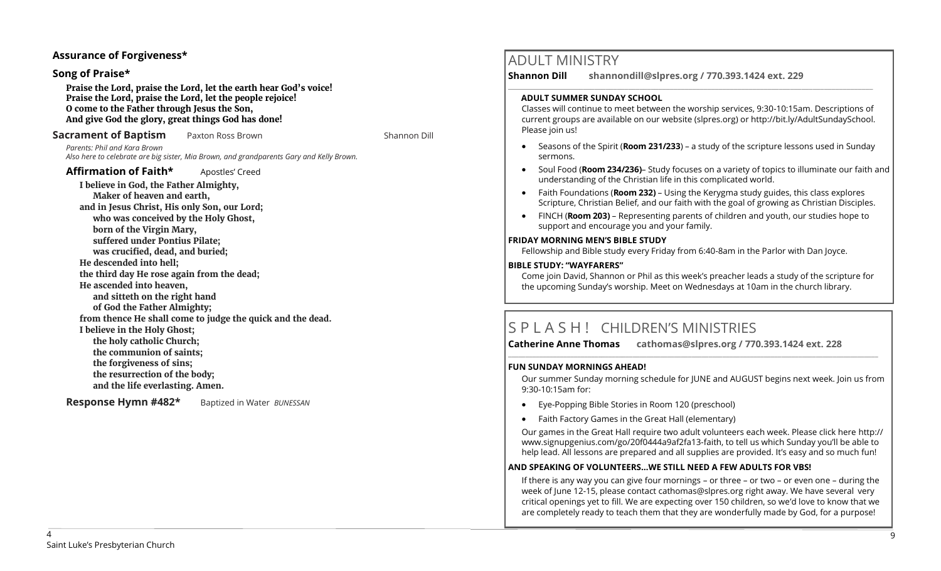## **Assurance of Forgiveness\***

#### **Song of Praise\***

**Praise the Lord, praise the Lord, let the earth hear God's voice! Praise the Lord, praise the Lord, let the people rejoice! O come to the Father through Jesus the Son, And give God the glory, great things God has done!** 

#### **Sacrament of Baptism** Paxton Ross Brown Null Resource Shannon Dill

*Parents: Phil and Kara Brown Also here to celebrate are big sister, Mia Brown, and grandparents Gary and Kelly Brown.*

### Affirmation of Faith\* Apostles' Creed

**I believe in God, the Father Almighty, Maker of heaven and earth, and in Jesus Christ, His only Son, our Lord; who was conceived by the Holy Ghost, born of the Virgin Mary, suffered under Pontius Pilate; was crucified, dead, and buried; He descended into hell; the third day He rose again from the dead; He ascended into heaven, and sitteth on the right hand of God the Father Almighty; from thence He shall come to judge the quick and the dead. I believe in the Holy Ghost; the holy catholic Church; the communion of saints; the forgiveness of sins; the resurrection of the body; and the life everlasting. Amen.**

**Response Hymn #482\*** Baptized in Water *BUNESSAN*

# ADULT MINISTRY

**Shannon Dill shannondill@slpres.org / 770.393.1424 ext. 229** 

#### **ADULT SUMMER SUNDAY SCHOOL**

Classes will continue to meet between the worship services, 9:30-10:15am. Descriptions of current groups are available on our website (slpres.org) or http://bit.ly/AdultSundaySchool. Please join us!

 $\_$  ,  $\_$  ,  $\_$  ,  $\_$  ,  $\_$  ,  $\_$  ,  $\_$  ,  $\_$  ,  $\_$  ,  $\_$  ,  $\_$  ,  $\_$  ,  $\_$  ,  $\_$  ,  $\_$  ,  $\_$  ,  $\_$  ,  $\_$  ,  $\_$ 

- Seasons of the Spirit (**Room 231/233**) a study of the scripture lessons used in Sunday sermons.
- Soul Food (**Room 234/236)** Study focuses on a variety of topics to illuminate our faith and understanding of the Christian life in this complicated world.
- Faith Foundations (**Room 232)**  Using the Kerygma study guides, this class explores Scripture, Christian Belief, and our faith with the goal of growing as Christian Disciples.
- FINCH (**Room 203)** Representing parents of children and youth, our studies hope to support and encourage you and your family.

#### **FRIDAY MORNING MEN'S BIBLE STUDY**

Fellowship and Bible study every Friday from 6:40-8am in the Parlor with Dan Joyce.

#### **BIBLE STUDY: "WAYFARERS"**

Come join David, Shannon or Phil as this week's preacher leads a study of the scripture for the upcoming Sunday's worship. Meet on Wednesdays at 10am in the church library.

# S P L A S H ! CHILDREN'S MINISTRIES

**Catherine Anne Thomas cathomas@slpres.org / 770.393.1424 ext. 228** 

#### **FUN SUNDAY MORNINGS AHEAD!**

Our summer Sunday morning schedule for JUNE and AUGUST begins next week. Join us from 9:30-10:15am for:

**\_\_\_\_\_\_\_\_\_\_\_\_\_\_\_\_\_\_\_\_\_\_\_\_\_\_\_\_\_\_\_\_\_\_\_\_\_\_\_\_\_\_\_\_\_\_\_\_\_\_\_\_\_\_\_\_\_\_\_\_\_\_\_\_\_\_\_\_\_\_\_\_\_\_\_\_\_\_\_\_\_\_\_\_\_\_\_\_\_\_\_\_\_\_\_\_\_\_\_\_\_\_\_\_\_\_\_** 

- Eye-Popping Bible Stories in Room 120 (preschool)
- Faith Factory Games in the Great Hall (elementary)

Our games in the Great Hall require two adult volunteers each week. Please click here [http://](http://www.signupgenius.com/go/20f0444a9af2fa13-faith) [www.signupgenius.com/go/20f0444a9af2fa13](http://www.signupgenius.com/go/20f0444a9af2fa13-faith)-faith, to tell us which Sunday you'll be able to help lead. All lessons are prepared and all supplies are provided. It's easy and so much fun!

#### **AND SPEAKING OF VOLUNTEERS…WE STILL NEED A FEW ADULTS FOR VBS!**

If there is any way you can give four mornings – or three – or two – or even one – during the week of June 12-15, please contact [cathomas@slpres.org](mailto:cathomas@slpres.org) right away. We have several very critical openings yet to fill. We are expecting over 150 children, so we'd love to know that we are completely ready to teach them that they are wonderfully made by God, for a purpose!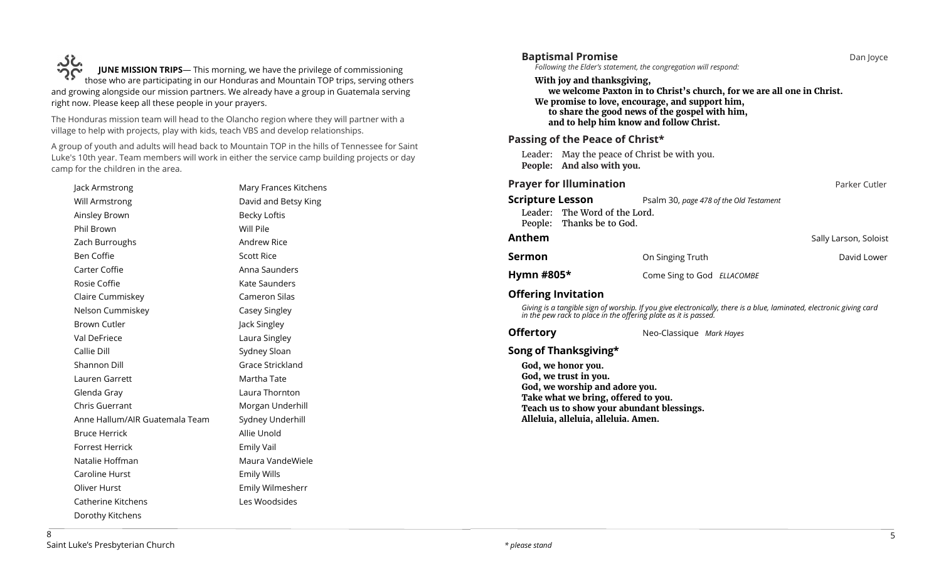**JUNE MISSION TRIPS**— This morning, we have the privilege of commissioning UNE MISSION TRIPS— This morning, we have the privilege of commissioning<br>those who are participating in our Honduras and Mountain TOP trips, serving others and growing alongside our mission partners. We already have a group in Guatemala serving right now. Please keep all these people in your prayers.

The Honduras mission team will head to the Olancho region where they will partner with a village to help with projects, play with kids, teach VBS and develop relationships.

A group of youth and adults will head back to Mountain TOP in the hills of Tennessee for Saint Luke's 10th year. Team members will work in either the service camp building projects or day camp for the children in the area.

| Jack Armstrong                 | Mary Frances Kitchens |  |
|--------------------------------|-----------------------|--|
| Will Armstrong                 | David and Betsy King  |  |
| Ainsley Brown                  | <b>Becky Loftis</b>   |  |
| Phil Brown                     | Will Pile             |  |
| Zach Burroughs                 | Andrew Rice           |  |
| Ben Coffie                     | <b>Scott Rice</b>     |  |
| Carter Coffie                  | Anna Saunders         |  |
| Rosie Coffie                   | Kate Saunders         |  |
| Claire Cummiskey               | Cameron Silas         |  |
| Nelson Cummiskey               | Casey Singley         |  |
| <b>Brown Cutler</b>            | Jack Singley          |  |
| Val DeFriece                   | Laura Singley         |  |
| Callie Dill                    | Sydney Sloan          |  |
| Shannon Dill                   | Grace Strickland      |  |
| Lauren Garrett                 | Martha Tate           |  |
| Glenda Gray                    | Laura Thornton        |  |
| Chris Guerrant                 | Morgan Underhill      |  |
| Anne Hallum/AIR Guatemala Team | Sydney Underhill      |  |
| <b>Bruce Herrick</b>           | Allie Unold           |  |
| <b>Forrest Herrick</b>         | <b>Emily Vail</b>     |  |
| Natalie Hoffman                | Maura VandeWiele      |  |
| Caroline Hurst                 | <b>Emily Wills</b>    |  |
| Oliver Hurst                   | Emily Wilmesherr      |  |
| <b>Catherine Kitchens</b>      | Les Woodsides         |  |
| Dorothy Kitchens               |                       |  |

| <b>Baptismal Promise</b>                                                              | Following the Elder's statement, the congregation will respond:                                                                                                                                                        | Dan Joyce             |
|---------------------------------------------------------------------------------------|------------------------------------------------------------------------------------------------------------------------------------------------------------------------------------------------------------------------|-----------------------|
| With joy and thanksgiving,                                                            | we welcome Paxton in to Christ's church, for we are all one in Christ.<br>We promise to love, encourage, and support him,<br>to share the good news of the gospel with him,<br>and to help him know and follow Christ. |                       |
| Passing of the Peace of Christ*                                                       |                                                                                                                                                                                                                        |                       |
| People: And also with you.                                                            | Leader: May the peace of Christ be with you.                                                                                                                                                                           |                       |
| <b>Prayer for Illumination</b>                                                        |                                                                                                                                                                                                                        | Parker Cutler         |
| <b>Scripture Lesson</b><br>Leader: The Word of the Lord.<br>People: Thanks be to God. | Psalm 30, page 478 of the Old Testament                                                                                                                                                                                |                       |
| Anthem                                                                                |                                                                                                                                                                                                                        | Sally Larson, Soloist |
| Sermon                                                                                | On Singing Truth                                                                                                                                                                                                       | David Lower           |
| Hymn #805*                                                                            | Come Sing to God ELLACOMBE                                                                                                                                                                                             |                       |
| <b>Offering Invitation</b>                                                            | Giving is a tangible sign of worship. If you give electronically, there is a blue, laminated, electronic giving card<br>in the pew rack to place in the offering plate as it is passed.                                |                       |
| <b>Offertory</b>                                                                      | Neo-Classique Mark Hayes                                                                                                                                                                                               |                       |
| Song of Thanksgiving*<br>God, we honor you.<br>God, we trust in you.                  |                                                                                                                                                                                                                        |                       |

**God, we worship and adore you. Take what we bring, offered to you. Teach us to show your abundant blessings. Alleluia, alleluia, alleluia. Amen.**